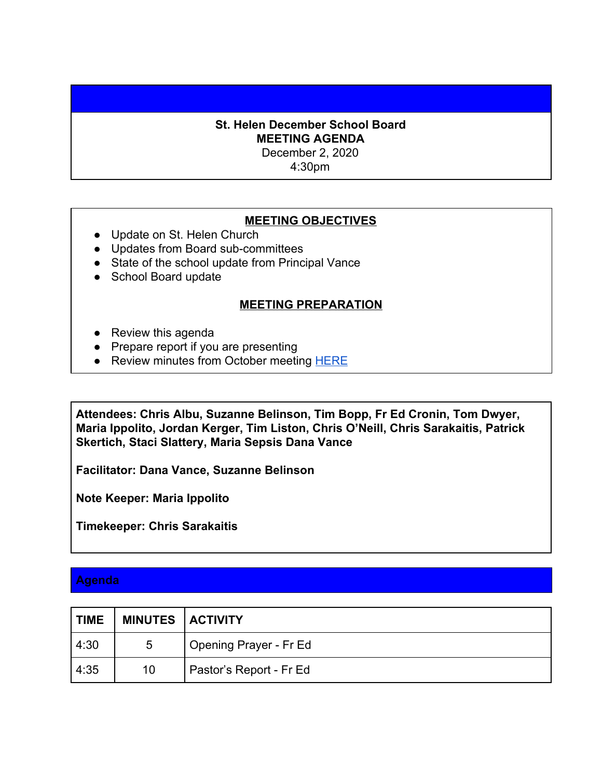## **St. Helen December School Board MEETING AGENDA**

December 2, 2020

4:30pm

## **MEETING OBJECTIVES**

- Update on St. Helen Church
- Updates from Board sub-committees
- State of the school update from Principal Vance
- School Board update

## **MEETING PREPARATION**

- Review this agenda
- Prepare report if you are presenting
- Review minutes from October meeting [HERE](https://58061a95-f745-4c75-845c-544b1735bdd5.filesusr.com/ugd/6404c5_428494a516af48059e1fcb28fbcfef83.pdf)

**Attendees: Chris Albu, Suzanne Belinson, Tim Bopp, Fr Ed Cronin, Tom Dwyer, Maria Ippolito, Jordan Kerger, Tim Liston, Chris O'Neill, Chris Sarakaitis, Patrick Skertich, Staci Slattery, Maria Sepsis Dana Vance**

**Facilitator: Dana Vance, Suzanne Belinson**

**Note Keeper: Maria Ippolito**

**Timekeeper: Chris Sarakaitis**

## **Agenda**

| <b>TIME</b> | <b>MINUTES   ACTIVITY</b> |                         |
|-------------|---------------------------|-------------------------|
| 4:30        | 5                         | Opening Prayer - Fr Ed  |
| 4:35        | 10                        | Pastor's Report - Fr Ed |